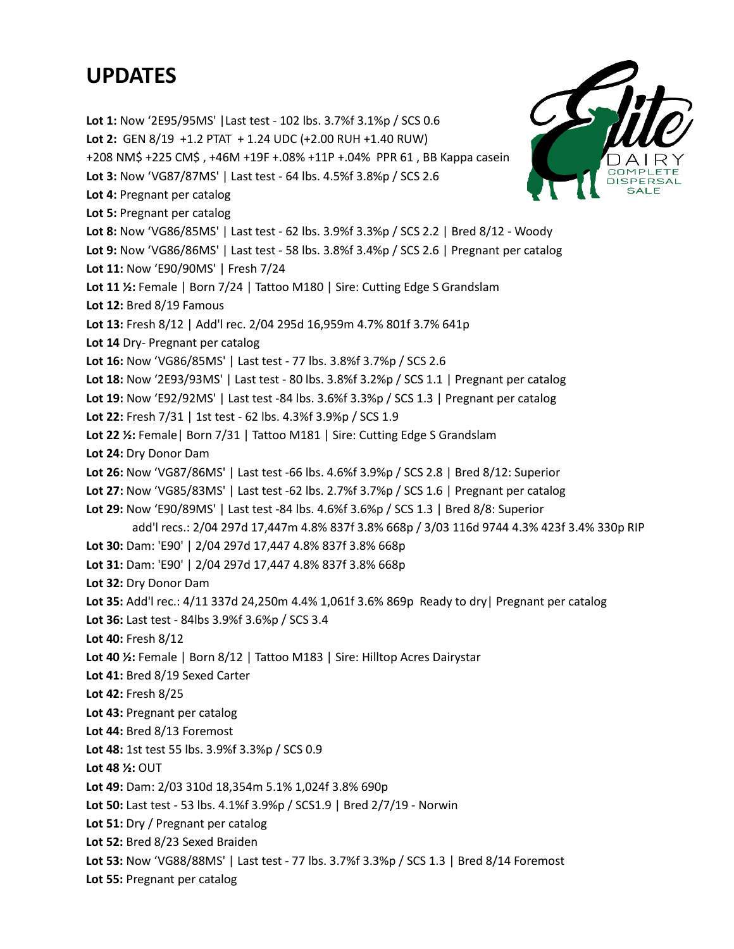## **UPDATES**

**Lot 1:** Now '2E95/95MS' |Last test - 102 lbs. 3.7%f 3.1%p / SCS 0.6 **Lot 2:** GEN 8/19 +1.2 PTAT + 1.24 UDC (+2.00 RUH +1.40 RUW) +208 NM\$ +225 CM\$ , +46M +19F +.08% +11P +.04% PPR 61 , BB Kappa casein **Lot 3:** Now 'VG87/87MS' | Last test - 64 lbs. 4.5%f 3.8%p / SCS 2.6 **Lot 4:** Pregnant per catalog **Lot 5:** Pregnant per catalog **Lot 8:** Now 'VG86/85MS' | Last test - 62 lbs. 3.9%f 3.3%p / SCS 2.2 | Bred 8/12 - Woody **Lot 9:** Now 'VG86/86MS' | Last test - 58 lbs. 3.8%f 3.4%p / SCS 2.6 | Pregnant per catalog **Lot 11:** Now 'E90/90MS' | Fresh 7/24 **Lot 11 ½:** Female | Born 7/24 | Tattoo M180 | Sire: Cutting Edge S Grandslam **Lot 12:** Bred 8/19 Famous **Lot 13:** Fresh 8/12 | Add'l rec. 2/04 295d 16,959m 4.7% 801f 3.7% 641p **Lot 14** Dry- Pregnant per catalog **Lot 16:** Now 'VG86/85MS' | Last test - 77 lbs. 3.8%f 3.7%p / SCS 2.6 **Lot 18:** Now '2E93/93MS' | Last test - 80 lbs. 3.8%f 3.2%p / SCS 1.1 | Pregnant per catalog **Lot 19:** Now 'E92/92MS' | Last test -84 lbs. 3.6%f 3.3%p / SCS 1.3 | Pregnant per catalog **Lot 22:** Fresh 7/31 | 1st test - 62 lbs. 4.3%f 3.9%p / SCS 1.9 **Lot 22 ½:** Female| Born 7/31 | Tattoo M181 | Sire: Cutting Edge S Grandslam **Lot 24:** Dry Donor Dam **Lot 26:** Now 'VG87/86MS' | Last test -66 lbs. 4.6%f 3.9%p / SCS 2.8 | Bred 8/12: Superior **Lot 27:** Now 'VG85/83MS' | Last test -62 lbs. 2.7%f 3.7%p / SCS 1.6 | Pregnant per catalog **Lot 29:** Now 'E90/89MS' | Last test -84 lbs. 4.6%f 3.6%p / SCS 1.3 | Bred 8/8: Superior add'l recs.: 2/04 297d 17,447m 4.8% 837f 3.8% 668p / 3/03 116d 9744 4.3% 423f 3.4% 330p RIP **Lot 30:** Dam: 'E90' | 2/04 297d 17,447 4.8% 837f 3.8% 668p **Lot 31:** Dam: 'E90' | 2/04 297d 17,447 4.8% 837f 3.8% 668p **Lot 32:** Dry Donor Dam **Lot 35:** Add'l rec.: 4/11 337d 24,250m 4.4% 1,061f 3.6% 869p Ready to dry| Pregnant per catalog **Lot 36:** Last test - 84lbs 3.9%f 3.6%p / SCS 3.4 **Lot 40:** Fresh 8/12 **Lot 40 ½:** Female | Born 8/12 | Tattoo M183 | Sire: Hilltop Acres Dairystar **Lot 41:** Bred 8/19 Sexed Carter **Lot 42:** Fresh 8/25 **Lot 43:** Pregnant per catalog **Lot 44:** Bred 8/13 Foremost **Lot 48:** 1st test 55 lbs. 3.9%f 3.3%p / SCS 0.9 **Lot 48 ½:** OUT **Lot 49:** Dam: 2/03 310d 18,354m 5.1% 1,024f 3.8% 690p **Lot 50:** Last test - 53 lbs. 4.1%f 3.9%p / SCS1.9 | Bred 2/7/19 - Norwin **Lot 51:** Dry / Pregnant per catalog **Lot 52:** Bred 8/23 Sexed Braiden **Lot 53:** Now 'VG88/88MS' | Last test - 77 lbs. 3.7%f 3.3%p / SCS 1.3 | Bred 8/14 Foremost **Lot 55:** Pregnant per catalog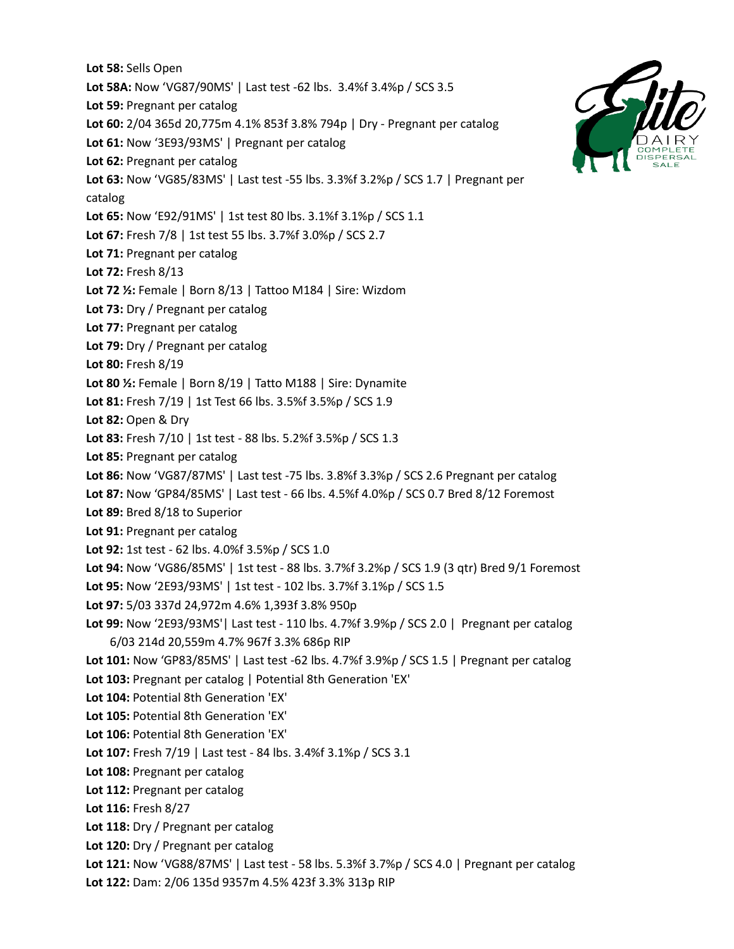**Lot 58:** Sells Open **Lot 58A:** Now 'VG87/90MS' | Last test -62 lbs. 3.4%f 3.4%p / SCS 3.5 **Lot 59:** Pregnant per catalog **Lot 60:** 2/04 365d 20,775m 4.1% 853f 3.8% 794p | Dry - Pregnant per catalog **Lot 61:** Now '3E93/93MS' | Pregnant per catalog **Lot 62:** Pregnant per catalog **Lot 63:** Now 'VG85/83MS' | Last test -55 lbs. 3.3%f 3.2%p / SCS 1.7 | Pregnant per catalog **Lot 65:** Now 'E92/91MS' | 1st test 80 lbs. 3.1%f 3.1%p / SCS 1.1 **Lot 67:** Fresh 7/8 | 1st test 55 lbs. 3.7%f 3.0%p / SCS 2.7 **Lot 71:** Pregnant per catalog **Lot 72:** Fresh 8/13 **Lot 72 ½:** Female | Born 8/13 | Tattoo M184 | Sire: Wizdom **Lot 73:** Dry / Pregnant per catalog **Lot 77:** Pregnant per catalog Lot 79: Dry / Pregnant per catalog **Lot 80:** Fresh 8/19 **Lot 80 ½:** Female | Born 8/19 | Tatto M188 | Sire: Dynamite **Lot 81:** Fresh 7/19 | 1st Test 66 lbs. 3.5%f 3.5%p / SCS 1.9 **Lot 82:** Open & Dry **Lot 83:** Fresh 7/10 | 1st test - 88 lbs. 5.2%f 3.5%p / SCS 1.3 **Lot 85:** Pregnant per catalog **Lot 86:** Now 'VG87/87MS' | Last test -75 lbs. 3.8%f 3.3%p / SCS 2.6 Pregnant per catalog **Lot 87:** Now 'GP84/85MS' | Last test - 66 lbs. 4.5%f 4.0%p / SCS 0.7 Bred 8/12 Foremost **Lot 89:** Bred 8/18 to Superior **Lot 91:** Pregnant per catalog **Lot 92:** 1st test - 62 lbs. 4.0%f 3.5%p / SCS 1.0 **Lot 94:** Now 'VG86/85MS' | 1st test - 88 lbs. 3.7%f 3.2%p / SCS 1.9 (3 qtr) Bred 9/1 Foremost **Lot 95:** Now '2E93/93MS' | 1st test - 102 lbs. 3.7%f 3.1%p / SCS 1.5 **Lot 97:** 5/03 337d 24,972m 4.6% 1,393f 3.8% 950p **Lot 99:** Now '2E93/93MS'| Last test - 110 lbs. 4.7%f 3.9%p / SCS 2.0 | Pregnant per catalog 6/03 214d 20,559m 4.7% 967f 3.3% 686p RIP **Lot 101:** Now 'GP83/85MS' | Last test -62 lbs. 4.7%f 3.9%p / SCS 1.5 | Pregnant per catalog **Lot 103:** Pregnant per catalog | Potential 8th Generation 'EX' **Lot 104:** Potential 8th Generation 'EX' **Lot 105:** Potential 8th Generation 'EX' **Lot 106:** Potential 8th Generation 'EX' **Lot 107:** Fresh 7/19 | Last test - 84 lbs. 3.4%f 3.1%p / SCS 3.1 **Lot 108:** Pregnant per catalog **Lot 112:** Pregnant per catalog **Lot 116:** Fresh 8/27 **Lot 118:** Dry / Pregnant per catalog Lot 120: Dry / Pregnant per catalog **Lot 121:** Now 'VG88/87MS' | Last test - 58 lbs. 5.3%f 3.7%p / SCS 4.0 | Pregnant per catalog **Lot 122:** Dam: 2/06 135d 9357m 4.5% 423f 3.3% 313p RIP